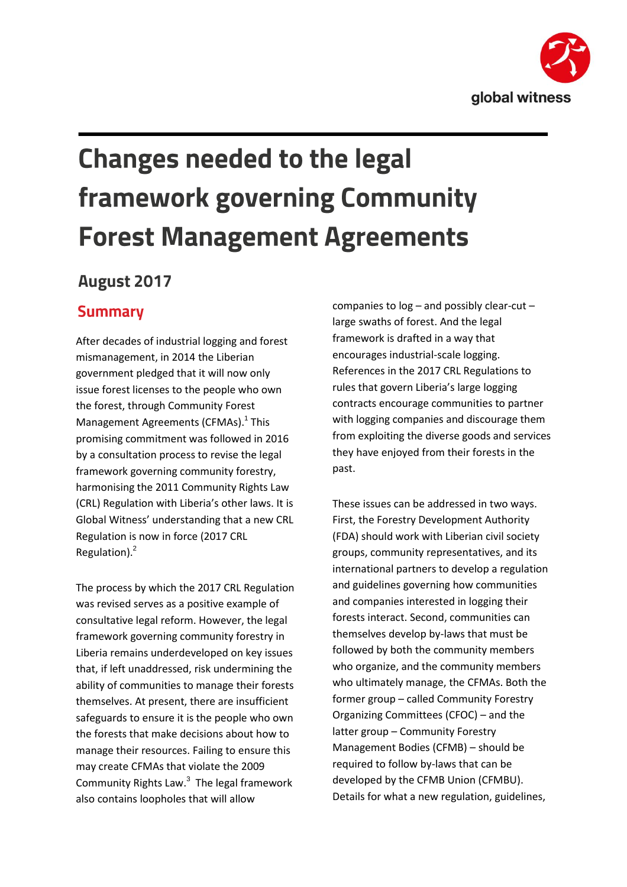

# **Changes needed to the legal framework governing Community Forest Management Agreements**

# **August 2017**

## **Summary**

After decades of industrial logging and forest mismanagement, in 2014 the Liberian government pledged that it will now only issue forest licenses to the people who own the forest, through Community Forest Management Agreements (CFMAs).<sup>1</sup> This promising commitment was followed in 2016 by a consultation process to revise the legal framework governing community forestry, harmonising the 2011 Community Rights Law (CRL) Regulation with Liberia's other laws. It is Global Witness' understanding that a new CRL Regulation is now in force (2017 CRL Regulation).<sup>2</sup>

The process by which the 2017 CRL Regulation was revised serves as a positive example of consultative legal reform. However, the legal framework governing community forestry in Liberia remains underdeveloped on key issues that, if left unaddressed, risk undermining the ability of communities to manage their forests themselves. At present, there are insufficient safeguards to ensure it is the people who own the forests that make decisions about how to manage their resources. Failing to ensure this may create CFMAs that violate the 2009 Community Rights Law.<sup>3</sup> The legal framework also contains loopholes that will allow

companies to log – and possibly clear-cut – large swaths of forest. And the legal framework is drafted in a way that encourages industrial-scale logging. References in the 2017 CRL Regulations to rules that govern Liberia's large logging contracts encourage communities to partner with logging companies and discourage them from exploiting the diverse goods and services they have enjoyed from their forests in the past.

These issues can be addressed in two ways. First, the Forestry Development Authority (FDA) should work with Liberian civil society groups, community representatives, and its international partners to develop a regulation and guidelines governing how communities and companies interested in logging their forests interact. Second, communities can themselves develop by-laws that must be followed by both the community members who organize, and the community members who ultimately manage, the CFMAs. Both the former group – called Community Forestry Organizing Committees (CFOC) – and the latter group – Community Forestry Management Bodies (CFMB) – should be required to follow by-laws that can be developed by the CFMB Union (CFMBU). Details for what a new regulation, guidelines,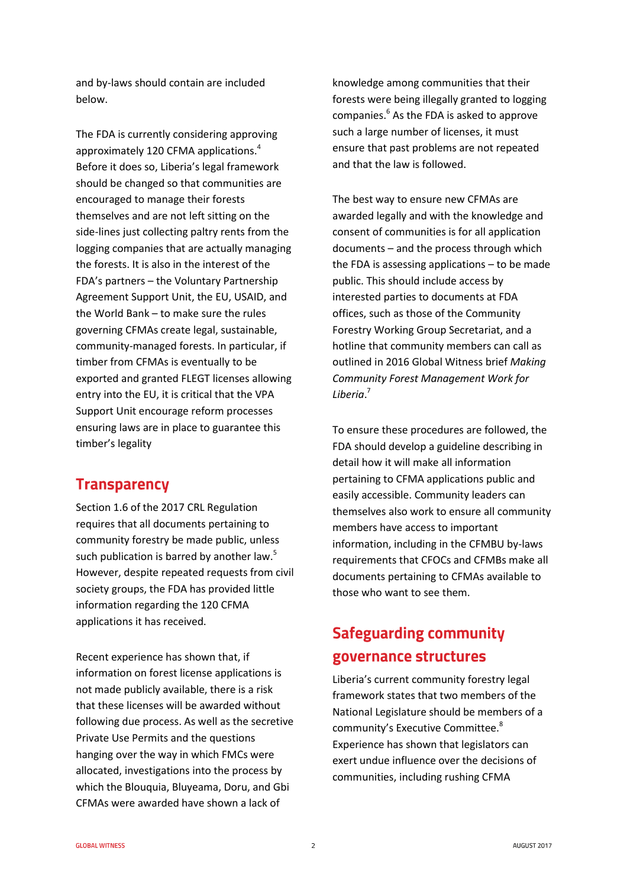and by-laws should contain are included below.

The FDA is currently considering approving approximately 120 CFMA applications. 4 Before it does so, Liberia's legal framework should be changed so that communities are encouraged to manage their forests themselves and are not left sitting on the side-lines just collecting paltry rents from the logging companies that are actually managing the forests. It is also in the interest of the FDA's partners – the Voluntary Partnership Agreement Support Unit, the EU, USAID, and the World Bank – to make sure the rules governing CFMAs create legal, sustainable, community-managed forests. In particular, if timber from CFMAs is eventually to be exported and granted FLEGT licenses allowing entry into the EU, it is critical that the VPA Support Unit encourage reform processes ensuring laws are in place to guarantee this timber's legality

### **Transparency**

Section 1.6 of the 2017 CRL Regulation requires that all documents pertaining to community forestry be made public, unless such publication is barred by another law.<sup>5</sup> However, despite repeated requests from civil society groups, the FDA has provided little information regarding the 120 CFMA applications it has received.

Recent experience has shown that, if information on forest license applications is not made publicly available, there is a risk that these licenses will be awarded without following due process. As well as the secretive Private Use Permits and the questions hanging over the way in which FMCs were allocated, investigations into the process by which the Blouquia, Bluyeama, Doru, and Gbi CFMAs were awarded have shown a lack of

knowledge among communities that their forests were being illegally granted to logging companies.<sup>6</sup> As the FDA is asked to approve such a large number of licenses, it must ensure that past problems are not repeated and that the law is followed.

The best way to ensure new CFMAs are awarded legally and with the knowledge and consent of communities is for all application documents – and the process through which the FDA is assessing applications – to be made public. This should include access by interested parties to documents at FDA offices, such as those of the Community Forestry Working Group Secretariat, and a hotline that community members can call as outlined in 2016 Global Witness brief *Making Community Forest Management Work for Liberia*. 7

To ensure these procedures are followed, the FDA should develop a guideline describing in detail how it will make all information pertaining to CFMA applications public and easily accessible. Community leaders can themselves also work to ensure all community members have access to important information, including in the CFMBU by-laws requirements that CFOCs and CFMBs make all documents pertaining to CFMAs available to those who want to see them.

# **Safeguarding community** governance structures

Liberia's current community forestry legal framework states that two members of the National Legislature should be members of a community's Executive Committee.<sup>8</sup> Experience has shown that legislators can exert undue influence over the decisions of communities, including rushing CFMA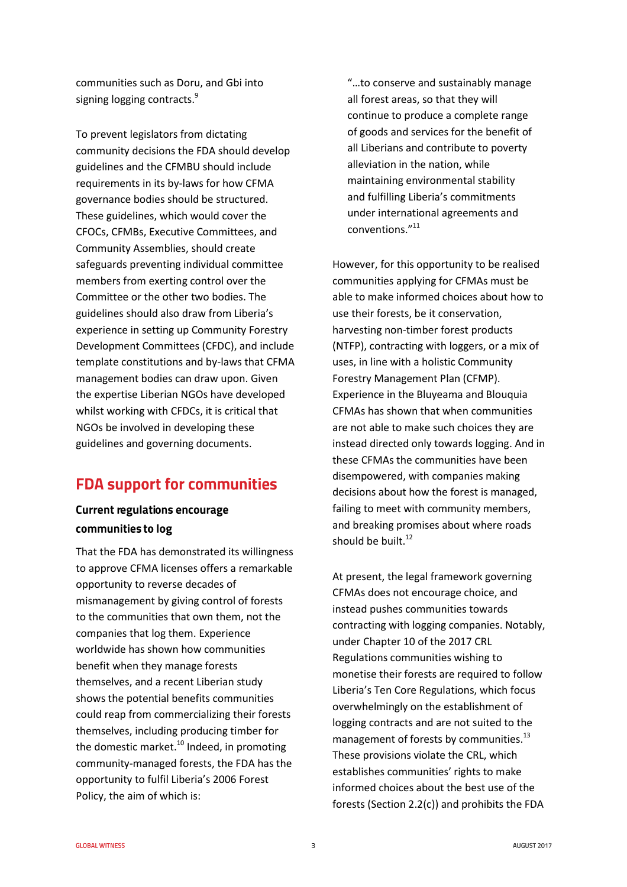communities such as Doru, and Gbi into signing logging contracts.<sup>9</sup>

To prevent legislators from dictating community decisions the FDA should develop guidelines and the CFMBU should include requirements in its by-laws for how CFMA governance bodies should be structured. These guidelines, which would cover the CFOCs, CFMBs, Executive Committees, and Community Assemblies, should create safeguards preventing individual committee members from exerting control over the Committee or the other two bodies. The guidelines should also draw from Liberia's experience in setting up Community Forestry Development Committees (CFDC), and include template constitutions and by-laws that CFMA management bodies can draw upon. Given the expertise Liberian NGOs have developed whilst working with CFDCs, it is critical that NGOs be involved in developing these guidelines and governing documents.

## **FDA support for communities**

#### **Current regulations encourage** communities to log

That the FDA has demonstrated its willingness to approve CFMA licenses offers a remarkable opportunity to reverse decades of mismanagement by giving control of forests to the communities that own them, not the companies that log them. Experience worldwide has shown how communities benefit when they manage forests themselves, and a recent Liberian study shows the potential benefits communities could reap from commercializing their forests themselves, including producing timber for the domestic market. $^{10}$  Indeed, in promoting community-managed forests, the FDA has the opportunity to fulfil Liberia's 2006 Forest Policy, the aim of which is:

"…to conserve and sustainably manage all forest areas, so that they will continue to produce a complete range of goods and services for the benefit of all Liberians and contribute to poverty alleviation in the nation, while maintaining environmental stability and fulfilling Liberia's commitments under international agreements and conventions." 11

However, for this opportunity to be realised communities applying for CFMAs must be able to make informed choices about how to use their forests, be it conservation, harvesting non-timber forest products (NTFP), contracting with loggers, or a mix of uses, in line with a holistic Community Forestry Management Plan (CFMP). Experience in the Bluyeama and Blouquia CFMAs has shown that when communities are not able to make such choices they are instead directed only towards logging. And in these CFMAs the communities have been disempowered, with companies making decisions about how the forest is managed, failing to meet with community members, and breaking promises about where roads should be built. $12$ 

At present, the legal framework governing CFMAs does not encourage choice, and instead pushes communities towards contracting with logging companies. Notably, under Chapter 10 of the 2017 CRL Regulations communities wishing to monetise their forests are required to follow Liberia's Ten Core Regulations, which focus overwhelmingly on the establishment of logging contracts and are not suited to the management of forests by communities.<sup>13</sup> These provisions violate the CRL, which establishes communities' rights to make informed choices about the best use of the forests (Section 2.2(c)) and prohibits the FDA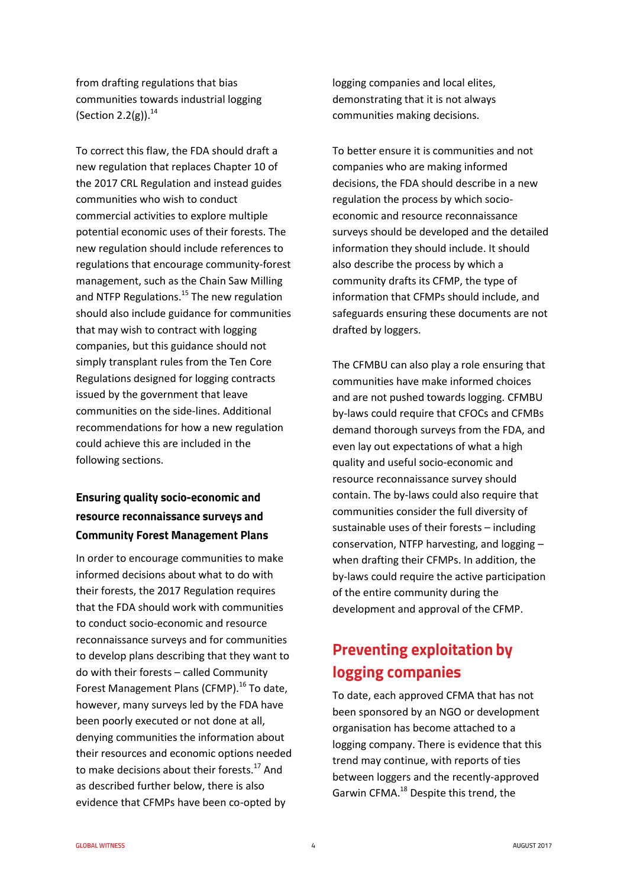from drafting regulations that bias communities towards industrial logging (Section 2.2(g)). $^{14}$ 

To correct this flaw, the FDA should draft a new regulation that replaces Chapter 10 of the 2017 CRL Regulation and instead guides communities who wish to conduct commercial activities to explore multiple potential economic uses of their forests. The new regulation should include references to regulations that encourage community-forest management, such as the Chain Saw Milling and NTFP Regulations.<sup>15</sup> The new regulation should also include guidance for communities that may wish to contract with logging companies, but this guidance should not simply transplant rules from the Ten Core Regulations designed for logging contracts issued by the government that leave communities on the side-lines. Additional recommendations for how a new regulation could achieve this are included in the following sections.

#### **Ensuring quality socio-economic and** resource reconnaissance surveys and **Community Forest Management Plans**

In order to encourage communities to make informed decisions about what to do with their forests, the 2017 Regulation requires that the FDA should work with communities to conduct socio-economic and resource reconnaissance surveys and for communities to develop plans describing that they want to do with their forests – called Community Forest Management Plans (CFMP).<sup>16</sup> To date, however, many surveys led by the FDA have been poorly executed or not done at all, denying communities the information about their resources and economic options needed to make decisions about their forests.<sup>17</sup> And as described further below, there is also evidence that CFMPs have been co-opted by

logging companies and local elites, demonstrating that it is not always communities making decisions.

To better ensure it is communities and not companies who are making informed decisions, the FDA should describe in a new regulation the process by which socioeconomic and resource reconnaissance surveys should be developed and the detailed information they should include. It should also describe the process by which a community drafts its CFMP, the type of information that CFMPs should include, and safeguards ensuring these documents are not drafted by loggers.

The CFMBU can also play a role ensuring that communities have make informed choices and are not pushed towards logging. CFMBU by-laws could require that CFOCs and CFMBs demand thorough surveys from the FDA, and even lay out expectations of what a high quality and useful socio-economic and resource reconnaissance survey should contain. The by-laws could also require that communities consider the full diversity of sustainable uses of their forests – including conservation, NTFP harvesting, and logging – when drafting their CFMPs. In addition, the by-laws could require the active participation of the entire community during the development and approval of the CFMP.

# **Preventing exploitation by** logging companies

To date, each approved CFMA that has not been sponsored by an NGO or development organisation has become attached to a logging company. There is evidence that this trend may continue, with reports of ties between loggers and the recently-approved Garwin CFMA.<sup>18</sup> Despite this trend, the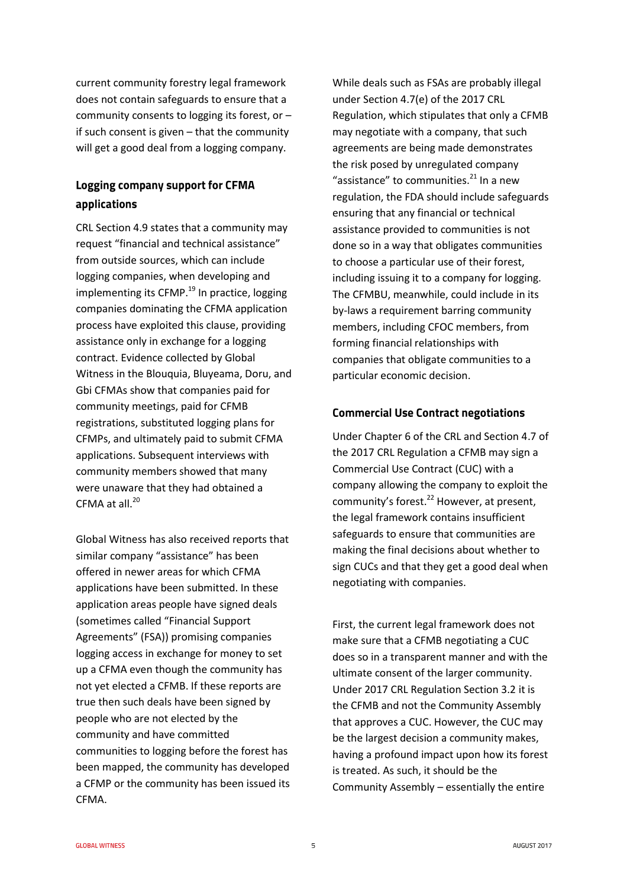current community forestry legal framework does not contain safeguards to ensure that a community consents to logging its forest, or – if such consent is given – that the community will get a good deal from a logging company.

#### Logging company support for CFMA applications

CRL Section 4.9 states that a community may request "financial and technical assistance" from outside sources, which can include logging companies, when developing and implementing its CFMP. $^{19}$  In practice, logging companies dominating the CFMA application process have exploited this clause, providing assistance only in exchange for a logging contract. Evidence collected by Global Witness in the Blouquia, Bluyeama, Doru, and Gbi CFMAs show that companies paid for community meetings, paid for CFMB registrations, substituted logging plans for CFMPs, and ultimately paid to submit CFMA applications. Subsequent interviews with community members showed that many were unaware that they had obtained a CFMA at all.<sup>20</sup>

Global Witness has also received reports that similar company "assistance" has been offered in newer areas for which CFMA applications have been submitted. In these application areas people have signed deals (sometimes called "Financial Support Agreements" (FSA)) promising companies logging access in exchange for money to set up a CFMA even though the community has not yet elected a CFMB. If these reports are true then such deals have been signed by people who are not elected by the community and have committed communities to logging before the forest has been mapped, the community has developed a CFMP or the community has been issued its CFMA.

While deals such as FSAs are probably illegal under Section 4.7(e) of the 2017 CRL Regulation, which stipulates that only a CFMB may negotiate with a company, that such agreements are being made demonstrates the risk posed by unregulated company "assistance" to communities. $^{21}$  In a new regulation, the FDA should include safeguards ensuring that any financial or technical assistance provided to communities is not done so in a way that obligates communities to choose a particular use of their forest, including issuing it to a company for logging. The CFMBU, meanwhile, could include in its by-laws a requirement barring community members, including CFOC members, from forming financial relationships with companies that obligate communities to a particular economic decision.

#### **Commercial Use Contract negotiations**

Under Chapter 6 of the CRL and Section 4.7 of the 2017 CRL Regulation a CFMB may sign a Commercial Use Contract (CUC) with a company allowing the company to exploit the community's forest.<sup>22</sup> However, at present, the legal framework contains insufficient safeguards to ensure that communities are making the final decisions about whether to sign CUCs and that they get a good deal when negotiating with companies.

First, the current legal framework does not make sure that a CFMB negotiating a CUC does so in a transparent manner and with the ultimate consent of the larger community. Under 2017 CRL Regulation Section 3.2 it is the CFMB and not the Community Assembly that approves a CUC. However, the CUC may be the largest decision a community makes, having a profound impact upon how its forest is treated. As such, it should be the Community Assembly – essentially the entire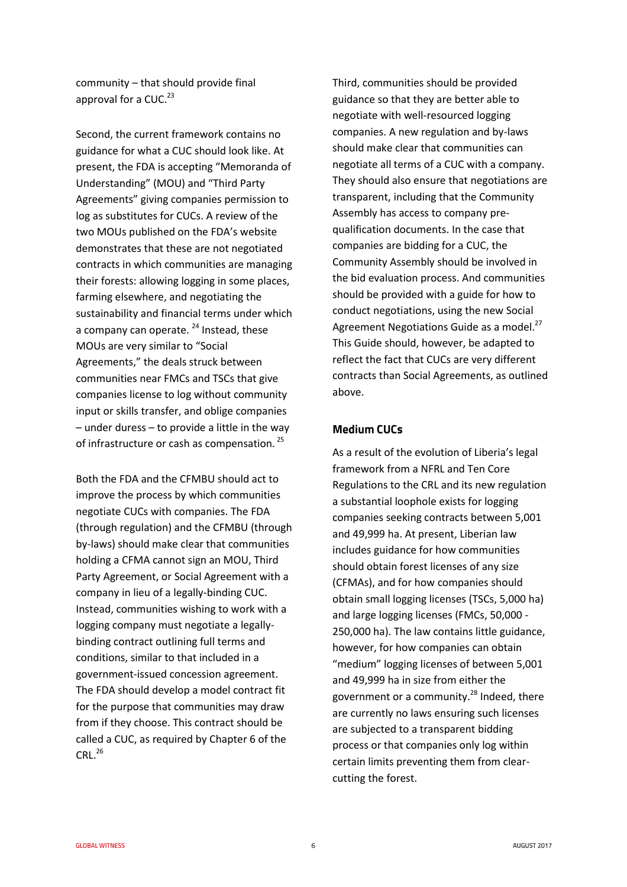community – that should provide final approval for a CUC.<sup>23</sup>

Second, the current framework contains no guidance for what a CUC should look like. At present, the FDA is accepting "Memoranda of Understanding" (MOU) and "Third Party Agreements" giving companies permission to log as substitutes for CUCs. A review of the two MOUs published on the FDA's website demonstrates that these are not negotiated contracts in which communities are managing their forests: allowing logging in some places, farming elsewhere, and negotiating the sustainability and financial terms under which a company can operate.  $24$  Instead, these MOUs are very similar to "Social Agreements," the deals struck between communities near FMCs and TSCs that give companies license to log without community input or skills transfer, and oblige companies – under duress – to provide a little in the way of infrastructure or cash as compensation. <sup>25</sup>

Both the FDA and the CFMBU should act to improve the process by which communities negotiate CUCs with companies. The FDA (through regulation) and the CFMBU (through by-laws) should make clear that communities holding a CFMA cannot sign an MOU, Third Party Agreement, or Social Agreement with a company in lieu of a legally-binding CUC. Instead, communities wishing to work with a logging company must negotiate a legallybinding contract outlining full terms and conditions, similar to that included in a government-issued concession agreement. The FDA should develop a model contract fit for the purpose that communities may draw from if they choose. This contract should be called a CUC, as required by Chapter 6 of the  $CRL<sup>26</sup>$ 

Third, communities should be provided guidance so that they are better able to negotiate with well-resourced logging companies. A new regulation and by-laws should make clear that communities can negotiate all terms of a CUC with a company. They should also ensure that negotiations are transparent, including that the Community Assembly has access to company prequalification documents. In the case that companies are bidding for a CUC, the Community Assembly should be involved in the bid evaluation process. And communities should be provided with a guide for how to conduct negotiations, using the new Social Agreement Negotiations Guide as a model.<sup>27</sup> This Guide should, however, be adapted to reflect the fact that CUCs are very different contracts than Social Agreements, as outlined above.

#### **Medium CUCs**

As a result of the evolution of Liberia's legal framework from a NFRL and Ten Core Regulations to the CRL and its new regulation a substantial loophole exists for logging companies seeking contracts between 5,001 and 49,999 ha. At present, Liberian law includes guidance for how communities should obtain forest licenses of any size (CFMAs), and for how companies should obtain small logging licenses (TSCs, 5,000 ha) and large logging licenses (FMCs, 50,000 - 250,000 ha). The law contains little guidance, however, for how companies can obtain "medium" logging licenses of between 5,001 and 49,999 ha in size from either the government or a community.<sup>28</sup> Indeed, there are currently no laws ensuring such licenses are subjected to a transparent bidding process or that companies only log within certain limits preventing them from clearcutting the forest.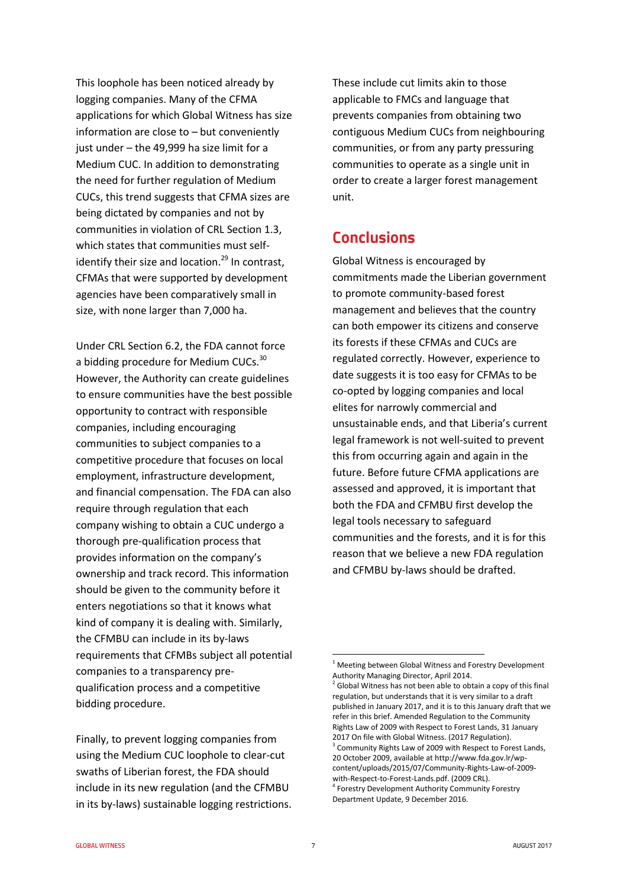This loophole has been noticed already by logging companies. Many of the CFMA applications for which Global Witness has size information are close to – but conveniently just under – the 49,999 ha size limit for a Medium CUC. In addition to demonstrating the need for further regulation of Medium CUCs, this trend suggests that CFMA sizes are being dictated by companies and not by communities in violation of CRL Section 1.3, which states that communities must selfidentify their size and location. $^{29}$  In contrast, CFMAs that were supported by development agencies have been comparatively small in size, with none larger than 7,000 ha.

Under CRL Section 6.2, the FDA cannot force a bidding procedure for Medium CUCs.<sup>30</sup> However, the Authority can create guidelines to ensure communities have the best possible opportunity to contract with responsible companies, including encouraging communities to subject companies to a competitive procedure that focuses on local employment, infrastructure development, and financial compensation. The FDA can also require through regulation that each company wishing to obtain a CUC undergo a thorough pre-qualification process that provides information on the company's ownership and track record. This information should be given to the community before it enters negotiations so that it knows what kind of company it is dealing with. Similarly, the CFMBU can include in its by-laws requirements that CFMBs subject all potential companies to a transparency prequalification process and a competitive bidding procedure.

Finally, to prevent logging companies from using the Medium CUC loophole to clear-cut swaths of Liberian forest, the FDA should include in its new regulation (and the CFMBU in its by-laws) sustainable logging restrictions. These include cut limits akin to those applicable to FMCs and language that prevents companies from obtaining two contiguous Medium CUCs from neighbouring communities, or from any party pressuring communities to operate as a single unit in order to create a larger forest management unit.

## **Conclusions**

Global Witness is encouraged by commitments made the Liberian government to promote community-based forest management and believes that the country can both empower its citizens and conserve its forests if these CFMAs and CUCs are regulated correctly. However, experience to date suggests it is too easy for CFMAs to be co-opted by logging companies and local elites for narrowly commercial and unsustainable ends, and that Liberia's current legal framework is not well-suited to prevent this from occurring again and again in the future. Before future CFMA applications are assessed and approved, it is important that both the FDA and CFMBU first develop the legal tools necessary to safeguard communities and the forests, and it is for this reason that we believe a new FDA regulation and CFMBU by-laws should be drafted.

<sup>1</sup>  $1$  Meeting between Global Witness and Forestry Development Authority Managing Director, April 2014.

 $2$  Global Witness has not been able to obtain a copy of this final regulation, but understands that it is very similar to a draft published in January 2017, and it is to this January draft that we refer in this brief. Amended Regulation to the Community Rights Law of 2009 with Respect to Forest Lands, 31 January 2017 On file with Global Witness. (2017 Regulation). <sup>3</sup> Community Rights Law of 2009 with Respect to Forest Lands, 20 October 2009, available at http://www.fda.gov.lr/wpcontent/uploads/2015/07/Community-Rights-Law-of-2009 with-Respect-to-Forest-Lands.pdf. (2009 CRL). 4 Forestry Development Authority Community Forestry Department Update, 9 December 2016.